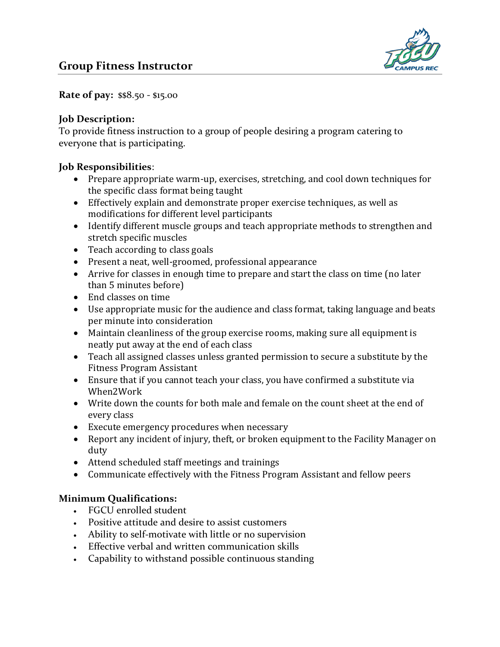

**Rate of pay:** \$\$8.50 - \$15.00

## **Job Description:**

To provide fitness instruction to a group of people desiring a program catering to everyone that is participating.

## **Job Responsibilities**:

- Prepare appropriate warm-up, exercises, stretching, and cool down techniques for the specific class format being taught
- Effectively explain and demonstrate proper exercise techniques, as well as modifications for different level participants
- Identify different muscle groups and teach appropriate methods to strengthen and stretch specific muscles
- Teach according to class goals
- Present a neat, well-groomed, professional appearance
- Arrive for classes in enough time to prepare and start the class on time (no later than 5 minutes before)
- End classes on time
- Use appropriate music for the audience and class format, taking language and beats per minute into consideration
- Maintain cleanliness of the group exercise rooms, making sure all equipment is neatly put away at the end of each class
- Teach all assigned classes unless granted permission to secure a substitute by the Fitness Program Assistant
- Ensure that if you cannot teach your class, you have confirmed a substitute via When2Work
- Write down the counts for both male and female on the count sheet at the end of every class
- Execute emergency procedures when necessary
- Report any incident of injury, theft, or broken equipment to the Facility Manager on duty
- Attend scheduled staff meetings and trainings
- Communicate effectively with the Fitness Program Assistant and fellow peers

## **Minimum Qualifications:**

- FGCU enrolled student
- Positive attitude and desire to assist customers
- Ability to self-motivate with little or no supervision
- Effective verbal and written communication skills
- Capability to withstand possible continuous standing